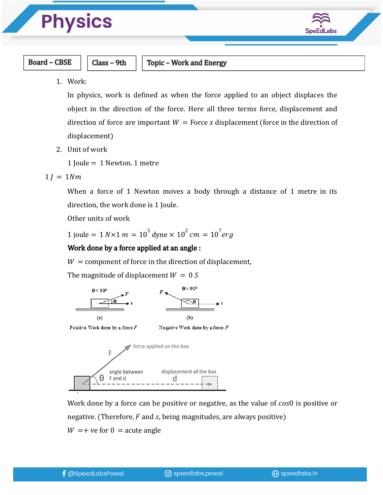# **Physics**



#### **Board - CBSE**

Class - 9th

Topic - Work and Energy

1. Work:

In physics, work is defined as when the force applied to an object displaces the object in the direction of the force. Here all three terms force, displacement and direction of force are important  $W =$  Force x displacement (force in the direction of displacement)

2. Unit of work

1 Joule = 1 Newton. 1 metre

 $1 l = 1 N m$ 

When a force of 1 Newton moves a body through a distance of 1 metre in its direction, the work done is 1 Joule.

Other units of work

1 joule = 1  $N \times 1$   $m = 10^5$  dyne  $\times$  10<sup>2</sup>  $cm = 10^7 erg$ 

### Work done by a force applied at an angle :

 $W =$  component of force in the direction of displacement,

The magnitude of displacement  $W = 0 S$ 



Work done by a force can be positive or negative, as the value of  $cos0$  is positive or negative. (Therefore,  $F$  and  $s$ , being magnitudes, are always positive)  $W = +$  ve for  $0 =$  acute angle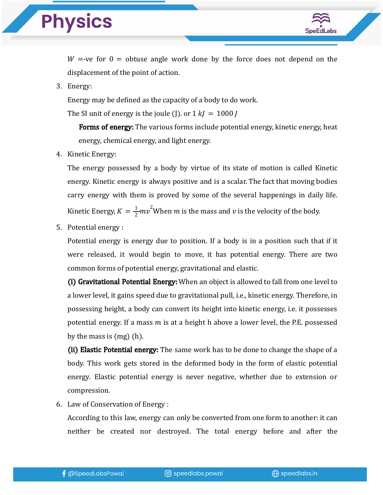## **Physics**



 $W = -ve$  for  $0 =$  obtuse angle work done by the force does not depend on the displacement of the point of action.

3. Energy:

Energy may be defined as the capacity of a body to do work.

The SI unit of energy is the joule (J). or  $1 k = 1000$  J

**Forms of energy:** The various forms include potential energy, kinetic energy, heat energy, chemical energy, and light energy.

4. Kinetic Energy:

The energy possessed by a body by virtue of its state of motion is called Kinetic energy. Kinetic energy is always positive and is a scalar. The fact that moving bodies carry energy with them is proved by some of the several happenings in daily life. Kinetic Energy,  $K = \frac{1}{2} m v^2$ When  $m$  is the mass and  $v$  is the velocity of the body.

5. Potential energy :

Potential energy is energy due to position. If a body is in a position such that if it were released, it would begin to move, it has potential energy. There are two common forms of potential energy, gravitational and elastic.

(i) Gravitational Potential Energy: When an object is allowed to fall from one level to a lower level, it gains speed due to gravitational pull, i.e., kinetic energy. Therefore, in possessing height, a body can convert its height into kinetic energy, i.e. it possesses potential energy. If a mass  $m$  is at a height h above a lower level, the P.E. possessed by the mass is (mg) (h).

(ii) Elastic Potential energy: The same work has to be done to change the shape of a body. This work gets stored in the deformed body in the form of elastic potential energy. Elastic potential energy is never negative, whether due to extension or compression.

6. Law of Conservation of Energy :

According to this law, energy can only be converted from one form to another: it can neither be created nor destroyed. The total energy before and after the